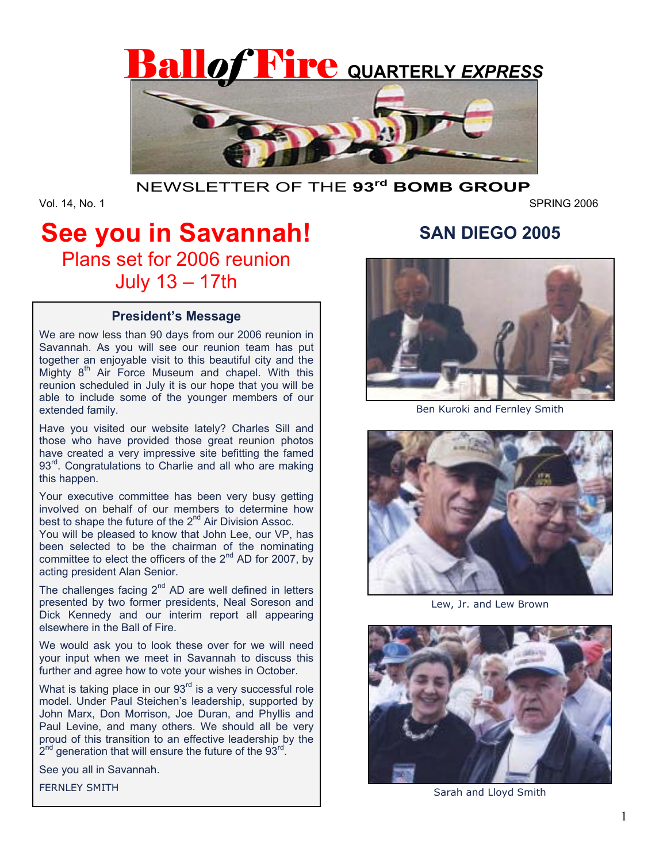

## NEWSLETTER OF THE **93rd BOMB GROUP**

Vol. 14, No. 1 SPRING 2006

# **See you in Savannah!**  Plans set for 2006 reunion July 13 – 17th

### **President's Message**

We are now less than 90 days from our 2006 reunion in Savannah. As you will see our reunion team has put together an enjoyable visit to this beautiful city and the Mighty  $8<sup>th</sup>$  Air Force Museum and chapel. With this reunion scheduled in July it is our hope that you will be able to include some of the younger members of our extended family.

Have you visited our website lately? Charles Sill and those who have provided those great reunion photos have created a very impressive site befitting the famed 93<sup>rd</sup>. Congratulations to Charlie and all who are making this happen.

Your executive committee has been very busy getting involved on behalf of our members to determine how best to shape the future of the 2<sup>nd</sup> Air Division Assoc.

You will be pleased to know that John Lee, our VP, has been selected to be the chairman of the nominating committee to elect the officers of the  $2^{nd}$  AD for 2007, by acting president Alan Senior.

The challenges facing  $2^{nd}$  AD are well defined in letters presented by two former presidents, Neal Soreson and Dick Kennedy and our interim report all appearing elsewhere in the Ball of Fire.

We would ask you to look these over for we will need your input when we meet in Savannah to discuss this further and agree how to vote your wishes in October.

What is taking place in our  $93<sup>rd</sup>$  is a very successful role model. Under Paul Steichen's leadership, supported by John Marx, Don Morrison, Joe Duran, and Phyllis and Paul Levine, and many others. We should all be very proud of this transition to an effective leadership by the  $2^{nd}$  generation that will ensure the future of the 93 $^{rd}$ .

See you all in Savannah.

FERNLEY SMITH

# **SAN DIEGO 2005**



Ben Kuroki and Fernley Smith



Lew, Jr. and Lew Brown



Sarah and Lloyd Smith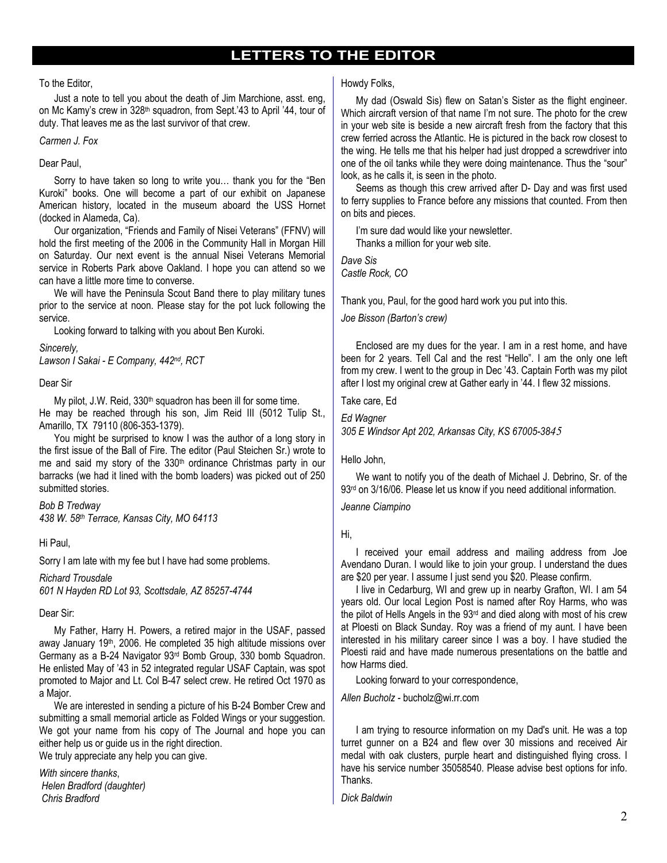## **LETTERS TO THE EDITOR**

#### To the Editor,

 Just a note to tell you about the death of Jim Marchione, asst. eng, on Mc Kamy's crew in 328<sup>th</sup> squadron, from Sept.'43 to April '44, tour of duty. That leaves me as the last survivor of that crew.

#### *Carmen J. Fox*

#### Dear Paul,

 Sorry to have taken so long to write you… thank you for the "Ben Kuroki" books. One will become a part of our exhibit on Japanese American history, located in the museum aboard the USS Hornet (docked in Alameda, Ca).

 Our organization, "Friends and Family of Nisei Veterans" (FFNV) will hold the first meeting of the 2006 in the Community Hall in Morgan Hill on Saturday. Our next event is the annual Nisei Veterans Memorial service in Roberts Park above Oakland. I hope you can attend so we can have a little more time to converse.

 We will have the Peninsula Scout Band there to play military tunes prior to the service at noon. Please stay for the pot luck following the service.

Looking forward to talking with you about Ben Kuroki.

#### *Sincerely,*

*Lawson I Sakai - E Company, 442nd, RCT* 

#### Dear Sir

My pilot, J.W. Reid, 330<sup>th</sup> squadron has been ill for some time. He may be reached through his son, Jim Reid III (5012 Tulip St., Amarillo, TX 79110 (806-353-1379).

 You might be surprised to know I was the author of a long story in the first issue of the Ball of Fire. The editor (Paul Steichen Sr.) wrote to me and said my story of the 330<sup>th</sup> ordinance Christmas party in our barracks (we had it lined with the bomb loaders) was picked out of 250 submitted stories.

*Bob B Tredway 438 W. 58th Terrace, Kansas City, MO 64113* 

#### Hi Paul,

Sorry I am late with my fee but I have had some problems.

#### *Richard Trousdale*

*601 N Hayden RD Lot 93, Scottsdale, AZ 85257-4744* 

#### Dear Sir:

 My Father, Harry H. Powers, a retired major in the USAF, passed away January 19<sup>th</sup>, 2006. He completed 35 high altitude missions over Germany as a B-24 Navigator 93rd Bomb Group, 330 bomb Squadron. He enlisted May of '43 in 52 integrated regular USAF Captain, was spot promoted to Major and Lt. Col B-47 select crew. He retired Oct 1970 as a Major.

 We are interested in sending a picture of his B-24 Bomber Crew and submitting a small memorial article as Folded Wings or your suggestion. We got your name from his copy of The Journal and hope you can either help us or guide us in the right direction. We truly appreciate any help you can give.

*With sincere thanks*, *Helen Bradford (daughter) Chris Bradford*

#### Howdy Folks,

 My dad (Oswald Sis) flew on Satan's Sister as the flight engineer. Which aircraft version of that name I'm not sure. The photo for the crew in your web site is beside a new aircraft fresh from the factory that this crew ferried across the Atlantic. He is pictured in the back row closest to the wing. He tells me that his helper had just dropped a screwdriver into one of the oil tanks while they were doing maintenance. Thus the "sour" look, as he calls it, is seen in the photo.

 Seems as though this crew arrived after D- Day and was first used to ferry supplies to France before any missions that counted. From then on bits and pieces.

 I'm sure dad would like your newsletter. Thanks a million for your web site.

*Dave Sis Castle Rock, CO*

Thank you, Paul, for the good hard work you put into this.

*Joe Bisson (Barton's crew)* 

 Enclosed are my dues for the year. I am in a rest home, and have been for 2 years. Tell Cal and the rest "Hello". I am the only one left from my crew. I went to the group in Dec '43. Captain Forth was my pilot after I lost my original crew at Gather early in '44. I flew 32 missions.

Take care, Ed

*Ed Wagner 305 E Windsor Apt 202, Arkansas City, KS 67005-3845*

#### Hello John,

 We want to notify you of the death of Michael J. Debrino, Sr. of the 93<sup>rd</sup> on 3/16/06. Please let us know if you need additional information.

*Jeanne Ciampino* 

Hi,

 I received your email address and mailing address from Joe Avendano Duran. I would like to join your group. I understand the dues are \$20 per year. I assume I just send you \$20. Please confirm.

 I live in Cedarburg, WI and grew up in nearby Grafton, WI. I am 54 years old. Our local Legion Post is named after Roy Harms, who was the pilot of Hells Angels in the 93rd and died along with most of his crew at Ploesti on Black Sunday. Roy was a friend of my aunt. I have been interested in his military career since I was a boy. I have studied the Ploesti raid and have made numerous presentations on the battle and how Harms died.

Looking forward to your correspondence,

*Allen Bucholz -* bucholz@wi.rr.com

 I am trying to resource information on my Dad's unit. He was a top turret gunner on a B24 and flew over 30 missions and received Air medal with oak clusters, purple heart and distinguished flying cross. I have his service number 35058540. Please advise best options for info. Thanks.

*Dick Baldwin*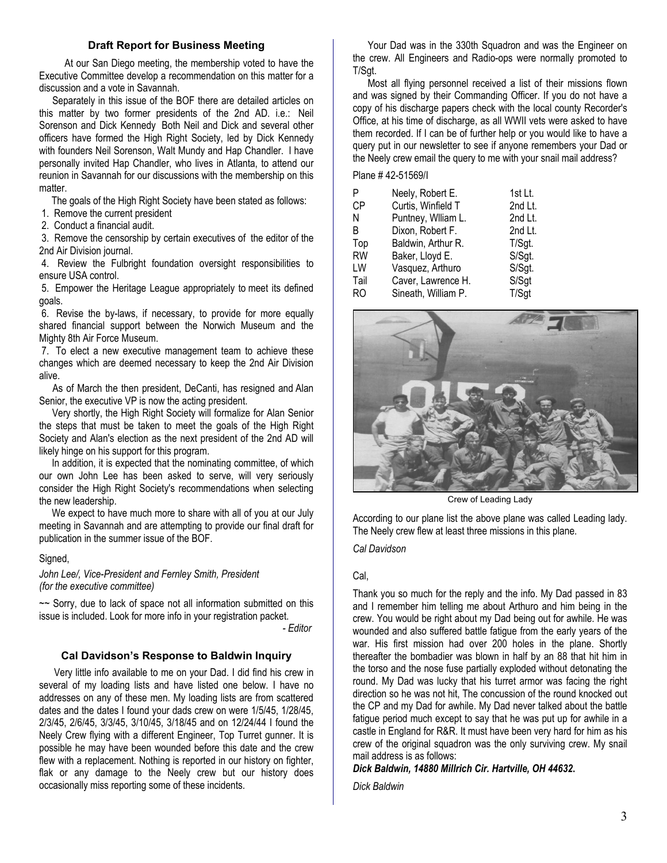#### **Draft Report for Business Meeting**

 At our San Diego meeting, the membership voted to have the Executive Committee develop a recommendation on this matter for a discussion and a vote in Savannah.

 Separately in this issue of the BOF there are detailed articles on this matter by two former presidents of the 2nd AD. i.e.: Neil Sorenson and Dick Kennedy Both Neil and Dick and several other officers have formed the High Right Society, led by Dick Kennedy with founders Neil Sorenson, Walt Mundy and Hap Chandler. I have personally invited Hap Chandler, who lives in Atlanta, to attend our reunion in Savannah for our discussions with the membership on this matter.

The goals of the High Right Society have been stated as follows:

1. Remove the current president

2. Conduct a financial audit.

 3. Remove the censorship by certain executives of the editor of the 2nd Air Division journal.

 4. Review the Fulbright foundation oversight responsibilities to ensure USA control.

 5. Empower the Heritage League appropriately to meet its defined goals.

 6. Revise the by-laws, if necessary, to provide for more equally shared financial support between the Norwich Museum and the Mighty 8th Air Force Museum.

 7. To elect a new executive management team to achieve these changes which are deemed necessary to keep the 2nd Air Division alive.

 As of March the then president, DeCanti, has resigned and Alan Senior, the executive VP is now the acting president.

 Very shortly, the High Right Society will formalize for Alan Senior the steps that must be taken to meet the goals of the High Right Society and Alan's election as the next president of the 2nd AD will likely hinge on his support for this program.

 In addition, it is expected that the nominating committee, of which our own John Lee has been asked to serve, will very seriously consider the High Right Society's recommendations when selecting the new leadership.

 We expect to have much more to share with all of you at our July meeting in Savannah and are attempting to provide our final draft for publication in the summer issue of the BOF.

#### Signed,

*John Lee/, Vice-President and Fernley Smith, President (for the executive committee)* 

 $\sim$  Sorry, due to lack of space not all information submitted on this issue is included. Look for more info in your registration packet.

*- Editor*

#### **Cal Davidson's Response to Baldwin Inquiry**

 Very little info available to me on your Dad. I did find his crew in several of my loading lists and have listed one below. I have no addresses on any of these men. My loading lists are from scattered dates and the dates I found your dads crew on were 1/5/45, 1/28/45, 2/3/45, 2/6/45, 3/3/45, 3/10/45, 3/18/45 and on 12/24/44 I found the Neely Crew flying with a different Engineer, Top Turret gunner. It is possible he may have been wounded before this date and the crew flew with a replacement. Nothing is reported in our history on fighter, flak or any damage to the Neely crew but our history does occasionally miss reporting some of these incidents.

 Your Dad was in the 330th Squadron and was the Engineer on the crew. All Engineers and Radio-ops were normally promoted to T/Sgt.

 Most all flying personnel received a list of their missions flown and was signed by their Commanding Officer. If you do not have a copy of his discharge papers check with the local county Recorder's Office, at his time of discharge, as all WWII vets were asked to have them recorded. If I can be of further help or you would like to have a query put in our newsletter to see if anyone remembers your Dad or the Neely crew email the query to me with your snail mail address?

Plane # 42-51569/I

| P         | Neely, Robert E.    | 1st Lt. |
|-----------|---------------------|---------|
| СP        | Curtis, Winfield T  | 2nd Lt. |
| Ν         | Puntney, Wiliam L.  | 2nd Lt. |
| B         | Dixon, Robert F.    | 2nd Lt. |
| Top       | Baldwin, Arthur R.  | T/Sgt.  |
| <b>RW</b> | Baker, Lloyd E.     | S/Sgt.  |
| LW        | Vasquez, Arthuro    | S/Sgt.  |
| Tail      | Caver, Lawrence H.  | S/Sgt   |
| RO        | Sineath, William P. | T/Sgt   |
|           |                     |         |



Crew of Leading Lady

According to our plane list the above plane was called Leading lady. The Neely crew flew at least three missions in this plane.

*Cal Davidson* 

#### Cal,

Thank you so much for the reply and the info. My Dad passed in 83 and I remember him telling me about Arthuro and him being in the crew. You would be right about my Dad being out for awhile. He was wounded and also suffered battle fatigue from the early years of the war. His first mission had over 200 holes in the plane. Shortly thereafter the bombadier was blown in half by an 88 that hit him in the torso and the nose fuse partially exploded without detonating the round. My Dad was lucky that his turret armor was facing the right direction so he was not hit, The concussion of the round knocked out the CP and my Dad for awhile. My Dad never talked about the battle fatigue period much except to say that he was put up for awhile in a castle in England for R&R. It must have been very hard for him as his crew of the original squadron was the only surviving crew. My snail mail address is as follows:

*Dick Baldwin, 14880 Millrich Cir. Hartville, OH 44632***.** 

*Dick Baldwin*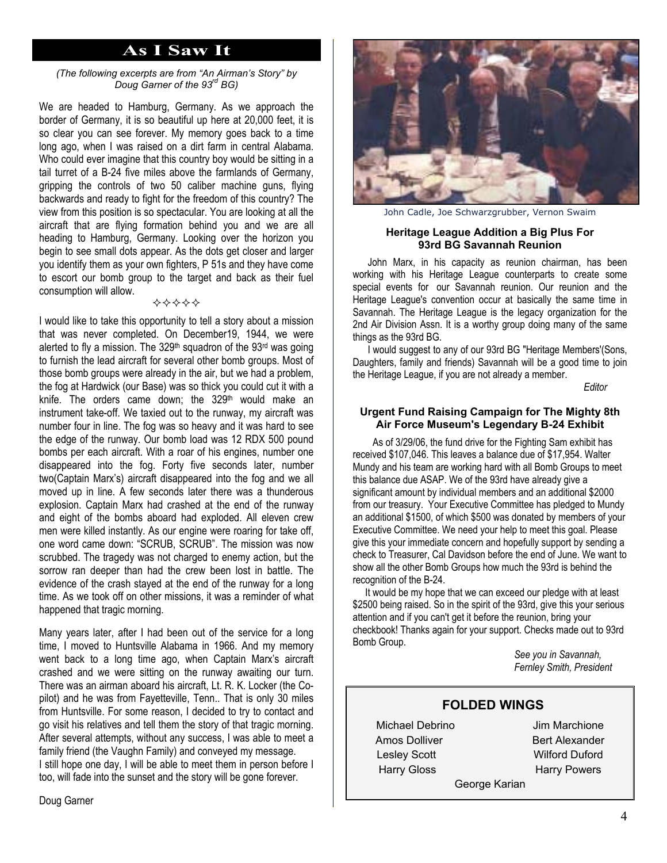## **As I Saw It**

#### *(The following excerpts are from "An Airman's Story" by Doug Garner of the 93rd BG)*

We are headed to Hamburg, Germany. As we approach the border of Germany, it is so beautiful up here at 20,000 feet, it is so clear you can see forever. My memory goes back to a time long ago, when I was raised on a dirt farm in central Alabama. Who could ever imagine that this country boy would be sitting in a tail turret of a B-24 five miles above the farmlands of Germany, gripping the controls of two 50 caliber machine guns, flying backwards and ready to fight for the freedom of this country? The view from this position is so spectacular. You are looking at all the aircraft that are flying formation behind you and we are all heading to Hamburg, Germany. Looking over the horizon you begin to see small dots appear. As the dots get closer and larger you identify them as your own fighters, P 51s and they have come to escort our bomb group to the target and back as their fuel consumption will allow.

I would like to take this opportunity to tell a story about a mission that was never completed. On December19, 1944, we were alerted to fly a mission. The 329<sup>th</sup> squadron of the 93<sup>rd</sup> was going to furnish the lead aircraft for several other bomb groups. Most of those bomb groups were already in the air, but we had a problem, the fog at Hardwick (our Base) was so thick you could cut it with a knife. The orders came down; the 329<sup>th</sup> would make an instrument take-off. We taxied out to the runway, my aircraft was number four in line. The fog was so heavy and it was hard to see the edge of the runway. Our bomb load was 12 RDX 500 pound bombs per each aircraft. With a roar of his engines, number one disappeared into the fog. Forty five seconds later, number two(Captain Marx's) aircraft disappeared into the fog and we all moved up in line. A few seconds later there was a thunderous explosion. Captain Marx had crashed at the end of the runway and eight of the bombs aboard had exploded. All eleven crew men were killed instantly. As our engine were roaring for take off, one word came down: "SCRUB, SCRUB". The mission was now scrubbed. The tragedy was not charged to enemy action, but the sorrow ran deeper than had the crew been lost in battle. The evidence of the crash stayed at the end of the runway for a long time. As we took off on other missions, it was a reminder of what happened that tragic morning.

Many years later, after I had been out of the service for a long time, I moved to Huntsville Alabama in 1966. And my memory went back to a long time ago, when Captain Marx's aircraft crashed and we were sitting on the runway awaiting our turn. There was an airman aboard his aircraft, Lt. R. K. Locker (the Copilot) and he was from Fayetteville, Tenn.. That is only 30 miles from Huntsville. For some reason, I decided to try to contact and go visit his relatives and tell them the story of that tragic morning. After several attempts, without any success, I was able to meet a family friend (the Vaughn Family) and conveyed my message. I still hope one day, I will be able to meet them in person before I too, will fade into the sunset and the story will be gone forever.



John Cadle, Joe Schwarzgrubber, Vernon Swaim

#### **Heritage League Addition a Big Plus For 93rd BG Savannah Reunion**

 John Marx, in his capacity as reunion chairman, has been working with his Heritage League counterparts to create some special events for our Savannah reunion. Our reunion and the Heritage League's convention occur at basically the same time in Savannah. The Heritage League is the legacy organization for the 2nd Air Division Assn. It is a worthy group doing many of the same things as the 93rd BG.

 I would suggest to any of our 93rd BG "Heritage Members'(Sons, Daughters, family and friends) Savannah will be a good time to join the Heritage League, if you are not already a member.

*Editor* 

#### **Urgent Fund Raising Campaign for The Mighty 8th Air Force Museum's Legendary B-24 Exhibit**

 As of 3/29/06, the fund drive for the Fighting Sam exhibit has received \$107,046. This leaves a balance due of \$17,954. Walter Mundy and his team are working hard with all Bomb Groups to meet this balance due ASAP. We of the 93rd have already give a significant amount by individual members and an additional \$2000 from our treasury. Your Executive Committee has pledged to Mundy an additional \$1500, of which \$500 was donated by members of your Executive Committee. We need your help to meet this goal. Please give this your immediate concern and hopefully support by sending a check to Treasurer, Cal Davidson before the end of June. We want to show all the other Bomb Groups how much the 93rd is behind the recognition of the B-24.

 It would be my hope that we can exceed our pledge with at least \$2500 being raised. So in the spirit of the 93rd, give this your serious attention and if you can't get it before the reunion, bring your checkbook! Thanks again for your support. Checks made out to 93rd Bomb Group.

 *See you in Savannah, Fernley Smith, President* 

#### **FOLDED WINGS**

Michael Debrino Jim Marchione Amos Dolliver **Bert Alexander** Lesley ScottWilford Duford Harry Gloss Harry Powers

George Karian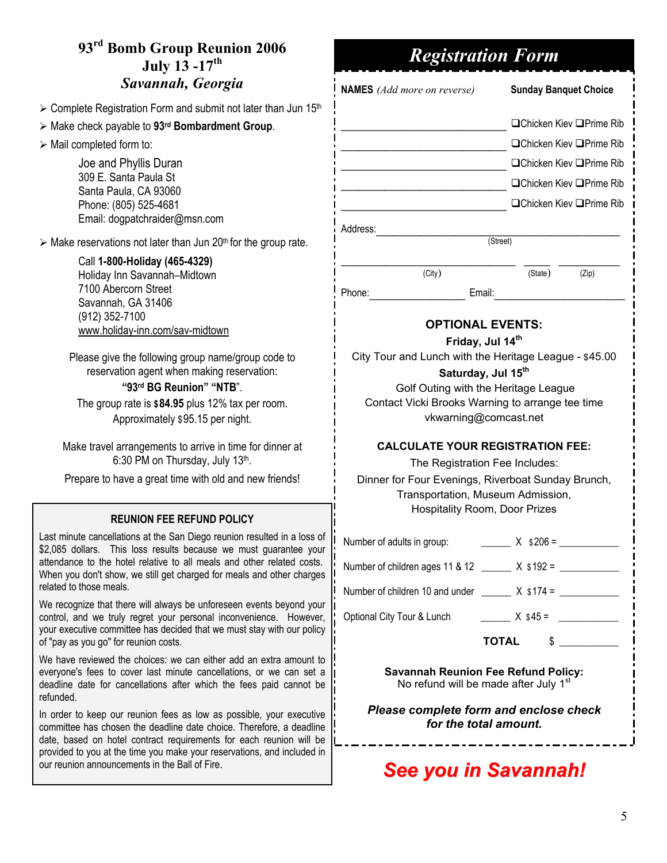# **93rd Bomb Group Reunion 2006 July 13 -17th** *Savannah, Georgia*

 $\geq$  Complete Registration Form and submit not later than Jun 15<sup>th</sup>

- ¾ Make check payable to **93rd Bombardment Group**.
- $\triangleright$  Mail completed form to:

Joe and Phyllis Duran 309 E. Santa Paula St Santa Paula, CA 93060 Phone: (805) 525-4681 Email: dogpatchraider@msn.com

 $\triangleright$  Make reservations not later than Jun 20<sup>th</sup> for the group rate.

#### Call **1-800-Holiday (465-4329)** Holiday Inn Savannah–Midtown 7100 Abercorn Street Savannah, GA 31406 (912) 352-7100

www.holiday-inn.com/sav-midtown

Please give the following group name/group code to reservation agent when making reservation:

### **"93rd BG Reunion" "NTB**".

The group rate is **\$84.95** plus 12% tax per room. Approximately \$95.15 per night.

Make travel arrangements to arrive in time for dinner at 6:30 PM on Thursday, July 13th.

Prepare to have a great time with old and new friends!

## **REUNION FEE REFUND POLICY**

Last minute cancellations at the San Diego reunion resulted in a loss of \$2,085 dollars. This loss results because we must guarantee your attendance to the hotel relative to all meals and other related costs. When you don't show, we still get charged for meals and other charges related to those meals.

We recognize that there will always be unforeseen events beyond your control, and we truly regret your personal inconvenience. However, your executive committee has decided that we must stay with our policy of "pay as you go" for reunion costs.

We have reviewed the choices: we can either add an extra amount to everyone's fees to cover last minute cancellations, or we can set a deadline date for cancellations after which the fees paid cannot be refunded.

In order to keep our reunion fees as low as possible, your executive committee has chosen the deadline date choice. Therefore, a deadline date, based on hotel contract requirements for each reunion will be provided to you at the time you make your reservations, and included in our reunion announcements in the Ball of Fire.

# *Registration Form*

**NAMES** *(Add more on reverse)* **Sunday Banquet Choice**

# $\Box$ Chicken Kiev  $\Box$ Prime Rib \_\_\_\_\_\_\_\_\_\_\_\_\_\_\_\_\_\_\_ Chicken Kiev Prime Rib \_\_\_\_\_\_\_\_\_\_\_\_\_\_\_\_\_\_\_ Chicken Kiev Prime Rib \_\_\_\_\_\_\_\_\_\_\_\_\_\_\_\_\_\_\_ Chicken Kiev Prime Rib

\_\_\_\_\_\_\_\_\_\_\_\_\_\_\_\_\_\_\_ Chicken Kiev Prime Rib

(Street)

 $\mathcal{L}_\text{max}$ (City) (State) (Zip)

Address:

Phone: Email:

## **OPTIONAL EVENTS:**

### **Friday, Jul 14th**

City Tour and Lunch with the Heritage League - \$45.00

## **Saturday, Jul 15th**

Golf Outing with the Heritage League Contact Vicki Brooks Warning to arrange tee time vkwarning@comcast.net

### **CALCULATE YOUR REGISTRATION FEE:**

The Registration Fee Includes:

Dinner for Four Evenings, Riverboat Sunday Brunch, Transportation, Museum Admission, Hospitality Room, Door Prizes

Number of adults in group:  $X$  \$ 206 =

Number of children ages 11 & 12 \_\_\_\_\_\_ X \$192 = \_\_\_\_\_\_\_\_\_\_\_

Number of children 10 and under  $\frac{X \cdot 174}{2}$ 

Optional City Tour & Lunch  $X$  \$45 =  $\qquad \qquad$ 

**TOTAL** \$ \_\_\_\_\_\_\_\_\_\_\_\_

**Savannah Reunion Fee Refund Policy:**  No refund will be made after July  $1<sup>s</sup>$ 

*Please complete form and enclose check for the total amount.* 

# *See you in Savannah!*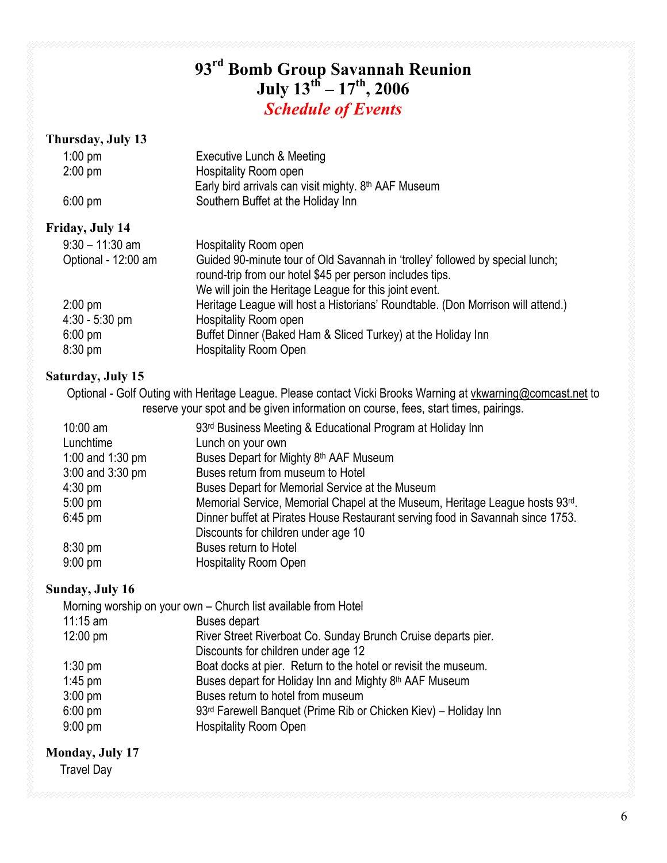# **93rd Bomb Group Savannah Reunion July 13th – 17th, 2006**  *Schedule of Events*

## **Thursday, July 13**

| $1:00$ pm<br>$2:00$ pm | Executive Lunch & Meeting<br><b>Hospitality Room open</b>                                                                                                                                           |
|------------------------|-----------------------------------------------------------------------------------------------------------------------------------------------------------------------------------------------------|
| $6:00 \text{ pm}$      | Early bird arrivals can visit mighty. 8th AAF Museum<br>Southern Buffet at the Holiday Inn                                                                                                          |
| Friday, July 14        |                                                                                                                                                                                                     |
| $9:30 - 11:30$ am      | Hospitality Room open                                                                                                                                                                               |
| Optional - 12:00 am    | Guided 90-minute tour of Old Savannah in 'trolley' followed by special lunch;<br>round-trip from our hotel \$45 per person includes tips.<br>We will join the Heritage League for this joint event. |
| $2:00$ pm              | Heritage League will host a Historians' Roundtable. (Don Morrison will attend.)                                                                                                                     |
| $4:30 - 5:30$ pm       | <b>Hospitality Room open</b>                                                                                                                                                                        |
| $6:00 \text{ pm}$      | Buffet Dinner (Baked Ham & Sliced Turkey) at the Holiday Inn                                                                                                                                        |
| $8:30$ pm              | <b>Hospitality Room Open</b>                                                                                                                                                                        |

## **Saturday, July 15**

Optional - Golf Outing with Heritage League. Please contact Vicki Brooks Warning at vkwarning@comcast.net to reserve your spot and be given information on course, fees, start times, pairings.

| 10:00 am          | 93 <sup>rd</sup> Business Meeting & Educational Program at Holiday Inn         |
|-------------------|--------------------------------------------------------------------------------|
| Lunchtime         | Lunch on your own                                                              |
| 1:00 and 1:30 pm  | Buses Depart for Mighty 8th AAF Museum                                         |
| 3:00 and 3:30 pm  | Buses return from museum to Hotel                                              |
| $4:30$ pm         | Buses Depart for Memorial Service at the Museum                                |
| $5:00 \text{ pm}$ | Memorial Service, Memorial Chapel at the Museum, Heritage League hosts 93rd.   |
| $6:45$ pm         | Dinner buffet at Pirates House Restaurant serving food in Savannah since 1753. |
|                   | Discounts for children under age 10                                            |
| $8:30$ pm         | Buses return to Hotel                                                          |
| $9:00$ pm         | <b>Hospitality Room Open</b>                                                   |
|                   |                                                                                |

## **Sunday, July 16**

|                        | Morning worship on your own – Church list available from Hotel  |
|------------------------|-----------------------------------------------------------------|
| $11:15$ am             | <b>Buses depart</b>                                             |
| $12:00 \text{ pm}$     | River Street Riverboat Co. Sunday Brunch Cruise departs pier.   |
|                        | Discounts for children under age 12                             |
| $1:30$ pm              | Boat docks at pier. Return to the hotel or revisit the museum.  |
| $1:45$ pm              | Buses depart for Holiday Inn and Mighty 8th AAF Museum          |
|                        | Buses return to hotel from museum                               |
|                        | 93rd Farewell Banquet (Prime Rib or Chicken Kiev) - Holiday Inn |
| $9:00$ pm              | <b>Hospitality Room Open</b>                                    |
| $3:00$ pm<br>$6:00$ pm |                                                                 |

## **Monday, July 17**

Travel Day